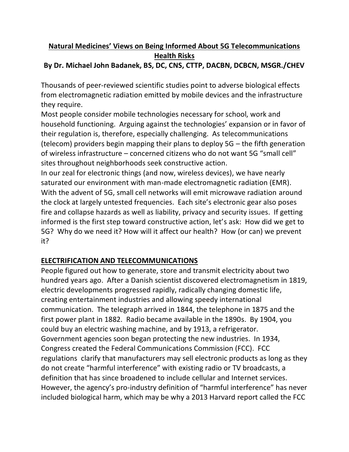# **Natural Medicines' Views on Being Informed About 5G Telecommunications Health Risks**

# **By Dr. Michael John Badanek, BS, DC, CNS, CTTP, DACBN, DCBCN, MSGR./CHEV**

Thousands of peer-reviewed scientific studies point to adverse biological effects from electromagnetic radiation emitted by mobile devices and the infrastructure they require.

Most people consider mobile technologies necessary for school, work and household functioning. Arguing against the technologies' expansion or in favor of their regulation is, therefore, especially challenging. As telecommunications (telecom) providers begin mapping their plans to deploy 5G – the fifth generation of wireless infrastructure – concerned citizens who do not want 5G "small cell" sites throughout neighborhoods seek constructive action.

In our zeal for electronic things (and now, wireless devices), we have nearly saturated our environment with man-made electromagnetic radiation (EMR). With the advent of 5G, small cell networks will emit microwave radiation around the clock at largely untested frequencies. Each site's electronic gear also poses fire and collapse hazards as well as liability, privacy and security issues. If getting informed is the first step toward constructive action, let's ask: How did we get to 5G? Why do we need it? How will it affect our health? How (or can) we prevent it?

# **ELECTRIFICATION AND TELECOMMUNICATIONS**

People figured out how to generate, store and transmit electricity about two hundred years ago. After a Danish scientist discovered electromagnetism in 1819, electric developments progressed rapidly, radically changing domestic life, creating entertainment industries and allowing speedy international communication. The telegraph arrived in 1844, the telephone in 1875 and the first power plant in 1882. Radio became available in the 1890s. By 1904, you could buy an electric washing machine, and by 1913, a refrigerator. Government agencies soon began protecting the new industries. In 1934, Congress created the Federal Communications Commission (FCC). FCC regulations clarify that manufacturers may sell electronic products as long as they do not create "harmful interference" with existing radio or TV broadcasts, a definition that has since broadened to include cellular and Internet services. However, the agency's pro-industry definition of "harmful interference" has never included biological harm, which may be why a 2013 Harvard report called the FCC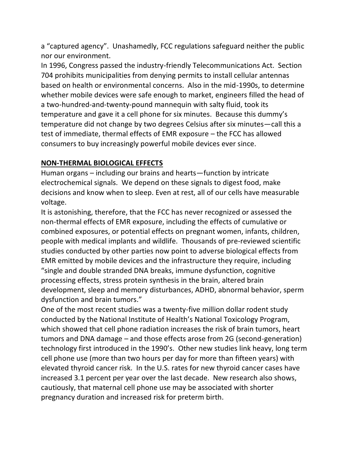a "captured agency". Unashamedly, FCC regulations safeguard neither the public nor our environment.

In 1996, Congress passed the industry-friendly Telecommunications Act. Section 704 prohibits municipalities from denying permits to install cellular antennas based on health or environmental concerns. Also in the mid-1990s, to determine whether mobile devices were safe enough to market, engineers filled the head of a two-hundred-and-twenty-pound mannequin with salty fluid, took its temperature and gave it a cell phone for six minutes. Because this dummy's temperature did not change by two degrees Celsius after six minutes—call this a test of immediate, thermal effects of EMR exposure – the FCC has allowed consumers to buy increasingly powerful mobile devices ever since.

## **NON-THERMAL BIOLOGICAL EFFECTS**

Human organs – including our brains and hearts—function by intricate electrochemical signals. We depend on these signals to digest food, make decisions and know when to sleep. Even at rest, all of our cells have measurable voltage.

It is astonishing, therefore, that the FCC has never recognized or assessed the non-thermal effects of EMR exposure, including the effects of cumulative or combined exposures, or potential effects on pregnant women, infants, children, people with medical implants and wildlife. Thousands of pre-reviewed scientific studies conducted by other parties now point to adverse biological effects from EMR emitted by mobile devices and the infrastructure they require, including "single and double stranded DNA breaks, immune dysfunction, cognitive processing effects, stress protein synthesis in the brain, altered brain development, sleep and memory disturbances, ADHD, abnormal behavior, sperm dysfunction and brain tumors."

One of the most recent studies was a twenty-five million dollar rodent study conducted by the National Institute of Health's National Toxicology Program, which showed that cell phone radiation increases the risk of brain tumors, heart tumors and DNA damage – and those effects arose from 2G (second-generation) technology first introduced in the 1990's. Other new studies link heavy, long term cell phone use (more than two hours per day for more than fifteen years) with elevated thyroid cancer risk. In the U.S. rates for new thyroid cancer cases have increased 3.1 percent per year over the last decade. New research also shows, cautiously, that maternal cell phone use may be associated with shorter pregnancy duration and increased risk for preterm birth.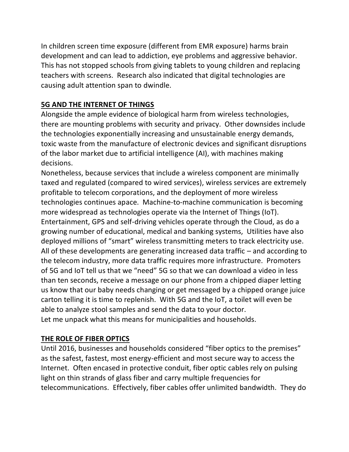In children screen time exposure (different from EMR exposure) harms brain development and can lead to addiction, eye problems and aggressive behavior. This has not stopped schools from giving tablets to young children and replacing teachers with screens. Research also indicated that digital technologies are causing adult attention span to dwindle.

# **5G AND THE INTERNET OF THINGS**

Alongside the ample evidence of biological harm from wireless technologies, there are mounting problems with security and privacy. Other downsides include the technologies exponentially increasing and unsustainable energy demands, toxic waste from the manufacture of electronic devices and significant disruptions of the labor market due to artificial intelligence (AI), with machines making decisions.

Nonetheless, because services that include a wireless component are minimally taxed and regulated (compared to wired services), wireless services are extremely profitable to telecom corporations, and the deployment of more wireless technologies continues apace. Machine-to-machine communication is becoming more widespread as technologies operate via the Internet of Things (IoT). Entertainment, GPS and self-driving vehicles operate through the Cloud, as do a growing number of educational, medical and banking systems, Utilities have also deployed millions of "smart" wireless transmitting meters to track electricity use. All of these developments are generating increased data traffic – and according to the telecom industry, more data traffic requires more infrastructure. Promoters of 5G and IoT tell us that we "need" 5G so that we can download a video in less than ten seconds, receive a message on our phone from a chipped diaper letting us know that our baby needs changing or get messaged by a chipped orange juice carton telling it is time to replenish. With 5G and the IoT, a toilet will even be able to analyze stool samples and send the data to your doctor. Let me unpack what this means for municipalities and households.

## **THE ROLE OF FIBER OPTICS**

Until 2016, businesses and households considered "fiber optics to the premises" as the safest, fastest, most energy-efficient and most secure way to access the Internet. Often encased in protective conduit, fiber optic cables rely on pulsing light on thin strands of glass fiber and carry multiple frequencies for telecommunications. Effectively, fiber cables offer unlimited bandwidth. They do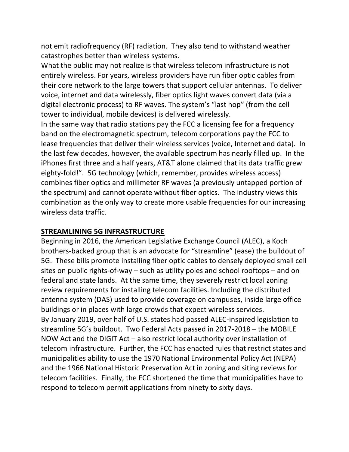not emit radiofrequency (RF) radiation. They also tend to withstand weather catastrophes better than wireless systems.

What the public may not realize is that wireless telecom infrastructure is not entirely wireless. For years, wireless providers have run fiber optic cables from their core network to the large towers that support cellular antennas. To deliver voice, internet and data wirelessly, fiber optics light waves convert data (via a digital electronic process) to RF waves. The system's "last hop" (from the cell tower to individual, mobile devices) is delivered wirelessly.

In the same way that radio stations pay the FCC a licensing fee for a frequency band on the electromagnetic spectrum, telecom corporations pay the FCC to lease frequencies that deliver their wireless services (voice, Internet and data). In the last few decades, however, the available spectrum has nearly filled up. In the iPhones first three and a half years, AT&T alone claimed that its data traffic grew eighty-fold!". 5G technology (which, remember, provides wireless access) combines fiber optics and millimeter RF waves (a previously untapped portion of the spectrum) and cannot operate without fiber optics. The industry views this combination as the only way to create more usable frequencies for our increasing wireless data traffic.

#### **STREAMLINING 5G INFRASTRUCTURE**

Beginning in 2016, the American Legislative Exchange Council (ALEC), a Koch brothers-backed group that is an advocate for "streamline" (ease) the buildout of 5G. These bills promote installing fiber optic cables to densely deployed small cell sites on public rights-of-way – such as utility poles and school rooftops – and on federal and state lands. At the same time, they severely restrict local zoning review requirements for installing telecom facilities. Including the distributed antenna system (DAS) used to provide coverage on campuses, inside large office buildings or in places with large crowds that expect wireless services. By January 2019, over half of U.S. states had passed ALEC-inspired legislation to streamline 5G's buildout. Two Federal Acts passed in 2017-2018 – the MOBILE NOW Act and the DIGIT Act – also restrict local authority over installation of telecom infrastructure. Further, the FCC has enacted rules that restrict states and municipalities ability to use the 1970 National Environmental Policy Act (NEPA) and the 1966 National Historic Preservation Act in zoning and siting reviews for telecom facilities. Finally, the FCC shortened the time that municipalities have to respond to telecom permit applications from ninety to sixty days.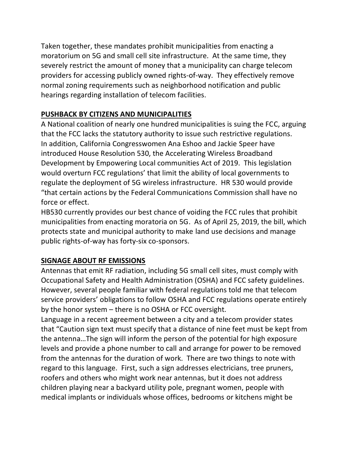Taken together, these mandates prohibit municipalities from enacting a moratorium on 5G and small cell site infrastructure. At the same time, they severely restrict the amount of money that a municipality can charge telecom providers for accessing publicly owned rights-of-way. They effectively remove normal zoning requirements such as neighborhood notification and public hearings regarding installation of telecom facilities.

# **PUSHBACK BY CITIZENS AND MUNICIPALITIES**

A National coalition of nearly one hundred municipalities is suing the FCC, arguing that the FCC lacks the statutory authority to issue such restrictive regulations. In addition, California Congresswomen Ana Eshoo and Jackie Speer have introduced House Resolution 530, the Accelerating Wireless Broadband Development by Empowering Local communities Act of 2019. This legislation would overturn FCC regulations' that limit the ability of local governments to regulate the deployment of 5G wireless infrastructure. HR 530 would provide "that certain actions by the Federal Communications Commission shall have no force or effect.

HB530 currently provides our best chance of voiding the FCC rules that prohibit municipalities from enacting moratoria on 5G. As of April 25, 2019, the bill, which protects state and municipal authority to make land use decisions and manage public rights-of-way has forty-six co-sponsors.

## **SIGNAGE ABOUT RF EMISSIONS**

Antennas that emit RF radiation, including 5G small cell sites, must comply with Occupational Safety and Health Administration (OSHA) and FCC safety guidelines. However, several people familiar with federal regulations told me that telecom service providers' obligations to follow OSHA and FCC regulations operate entirely by the honor system – there is no OSHA or FCC oversight.

Language in a recent agreement between a city and a telecom provider states that "Caution sign text must specify that a distance of nine feet must be kept from the antenna…The sign will inform the person of the potential for high exposure levels and provide a phone number to call and arrange for power to be removed from the antennas for the duration of work. There are two things to note with regard to this language. First, such a sign addresses electricians, tree pruners, roofers and others who might work near antennas, but it does not address children playing near a backyard utility pole, pregnant women, people with medical implants or individuals whose offices, bedrooms or kitchens might be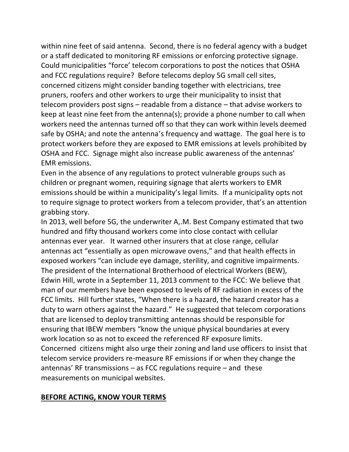within nine feet of said antenna. Second, there is no federal agency with a budget or a staff dedicated to monitoring RF emissions or enforcing protective signage. Could municipalities "force' telecom corporations to post the notices that OSHA and FCC regulations require? Before telecoms deploy 5G small cell sites, concerned citizens might consider banding together with electricians, tree pruners, roofers and other workers to urge their municipality to insist that telecom providers post signs – readable from a distance – that advise workers to keep at least nine feet from the antenna(s); provide a phone number to call when workers need the antennas turned off so that they can work within levels deemed safe by OSHA; and note the antenna's frequency and wattage. The goal here is to protect workers before they are exposed to EMR emissions at levels prohibited by OSHA and FCC. Signage might also increase public awareness of the antennas' EMR emissions.

Even in the absence of any regulations to protect vulnerable groups such as children or pregnant women, requiring signage that alerts workers to EMR emissions should be within a municipality's legal limits. If a municipality opts not to require signage to protect workers from a telecom provider, that's an attention grabbing story.

In 2013, well before 5G, the underwriter A,.M. Best Company estimated that two hundred and fifty thousand workers come into close contact with cellular antennas ever year. It warned other insurers that at close range, cellular antennas act "essentially as open microwave ovens," and that health effects in exposed workers "can include eye damage, sterility, and cognitive impairments. The president of the International Brotherhood of electrical Workers (BEW), Edwin Hill, wrote in a September 11, 2013 comment to the FCC: We believe that man of our members have been exposed to levels of RF radiation in excess of the FCC limits. Hill further states, "When there is a hazard, the hazard creator has a duty to warn others against the hazard." He suggested that telecom corporations that are licensed to deploy transmitting antennas should be responsible for ensuring that IBEW members "know the unique physical boundaries at every work location so as not to exceed the referenced RF exposure limits. Concerned citizens might also urge their zoning and land use officers to insist that telecom service providers re-measure RF emissions if or when they change the antennas' RF transmissions – as FCC regulations require – and these measurements on municipal websites.

#### **BEFORE ACTING, KNOW YOUR TERMS**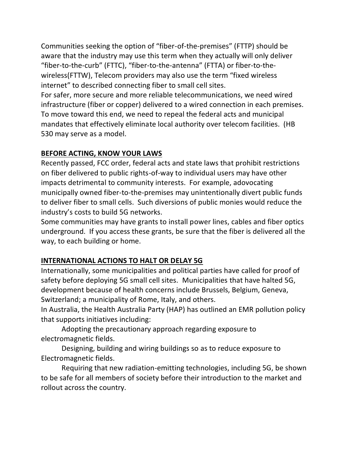Communities seeking the option of "fiber-of-the-premises" (FTTP) should be aware that the industry may use this term when they actually will only deliver "fiber-to-the-curb" (FTTC), "fiber-to-the-antenna" (FTTA) or fiber-to-thewireless(FTTW), Telecom providers may also use the term "fixed wireless internet" to described connecting fiber to small cell sites.

For safer, more secure and more reliable telecommunications, we need wired infrastructure (fiber or copper) delivered to a wired connection in each premises. To move toward this end, we need to repeal the federal acts and municipal mandates that effectively eliminate local authority over telecom facilities. (HB 530 may serve as a model.

## **BEFORE ACTING, KNOW YOUR LAWS**

Recently passed, FCC order, federal acts and state laws that prohibit restrictions on fiber delivered to public rights-of-way to individual users may have other impacts detrimental to community interests. For example, adovocating municipally owned fiber-to-the-premises may unintentionally divert public funds to deliver fiber to small cells. Such diversions of public monies would reduce the industry's costs to build 5G networks.

Some communities may have grants to install power lines, cables and fiber optics underground. If you access these grants, be sure that the fiber is delivered all the way, to each building or home.

## **INTERNATIONAL ACTIONS TO HALT OR DELAY 5G**

Internationally, some municipalities and political parties have called for proof of safety before deploying 5G small cell sites. Municipalities that have halted 5G, development because of health concerns include Brussels, Belgium, Geneva, Switzerland; a municipality of Rome, Italy, and others.

In Australia, the Health Australia Party (HAP) has outlined an EMR pollution policy that supports initiatives including:

Adopting the precautionary approach regarding exposure to electromagnetic fields.

Designing, building and wiring buildings so as to reduce exposure to Electromagnetic fields.

Requiring that new radiation-emitting technologies, including 5G, be shown to be safe for all members of society before their introduction to the market and rollout across the country.